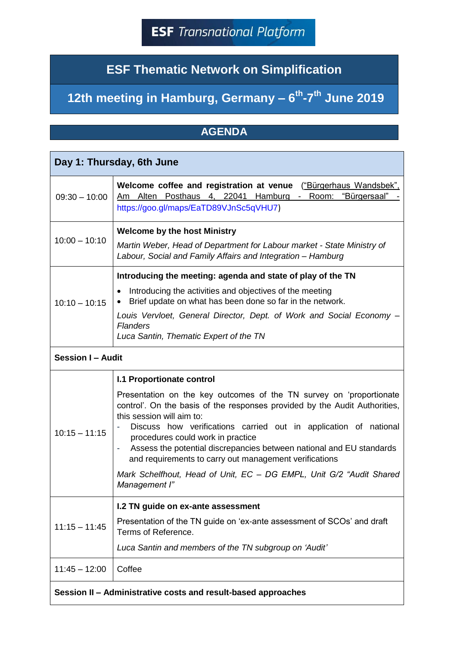## **ESF Thematic Network on Simplification**

## **12th meeting in Hamburg, Germany – 6 th -7 th June 2019**

## **AGENDA**

| Day 1: Thursday, 6th June                                     |                                                                                                                                                                                                                                                                                                                                                                                                                                                                                                                                                                                   |  |
|---------------------------------------------------------------|-----------------------------------------------------------------------------------------------------------------------------------------------------------------------------------------------------------------------------------------------------------------------------------------------------------------------------------------------------------------------------------------------------------------------------------------------------------------------------------------------------------------------------------------------------------------------------------|--|
| $09:30 - 10:00$                                               | Welcome coffee and registration at venue ("Bürgerhaus Wandsbek",<br>Am Alten Posthaus 4, 22041 Hamburg - Room: "Bürgersaal"<br>https://goo.gl/maps/EaTD89VJnSc5qVHU7)                                                                                                                                                                                                                                                                                                                                                                                                             |  |
| $10:00 - 10:10$                                               | <b>Welcome by the host Ministry</b><br>Martin Weber, Head of Department for Labour market - State Ministry of<br>Labour, Social and Family Affairs and Integration - Hamburg                                                                                                                                                                                                                                                                                                                                                                                                      |  |
| $10:10 - 10:15$                                               | Introducing the meeting: agenda and state of play of the TN<br>Introducing the activities and objectives of the meeting<br>$\bullet$<br>Brief update on what has been done so far in the network.<br>$\bullet$<br>Louis Vervloet, General Director, Dept. of Work and Social Economy –<br><b>Flanders</b><br>Luca Santin, Thematic Expert of the TN                                                                                                                                                                                                                               |  |
| <b>Session I - Audit</b>                                      |                                                                                                                                                                                                                                                                                                                                                                                                                                                                                                                                                                                   |  |
| $10:15 - 11:15$                                               | <b>I.1 Proportionate control</b><br>Presentation on the key outcomes of the TN survey on 'proportionate<br>control'. On the basis of the responses provided by the Audit Authorities,<br>this session will aim to:<br>Discuss how verifications carried out in application of national<br>procedures could work in practice<br>Assess the potential discrepancies between national and EU standards<br>$\overline{\phantom{a}}$<br>and requirements to carry out management verifications<br>Mark Schelfhout, Head of Unit, EC - DG EMPL, Unit G/2 "Audit Shared<br>Management I" |  |
| $11:15 - 11:45$                                               | I.2 TN guide on ex-ante assessment<br>Presentation of the TN guide on 'ex-ante assessment of SCOs' and draft<br>Terms of Reference.<br>Luca Santin and members of the TN subgroup on 'Audit'                                                                                                                                                                                                                                                                                                                                                                                      |  |
| $11:45 - 12:00$                                               | Coffee                                                                                                                                                                                                                                                                                                                                                                                                                                                                                                                                                                            |  |
| Session II - Administrative costs and result-based approaches |                                                                                                                                                                                                                                                                                                                                                                                                                                                                                                                                                                                   |  |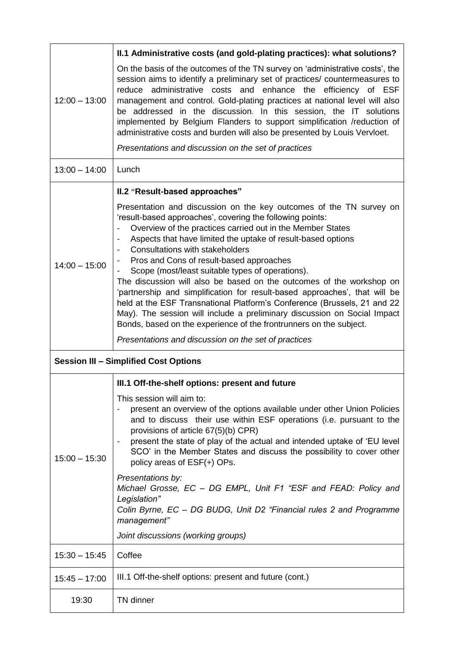| $12:00 - 13:00$                              | II.1 Administrative costs (and gold-plating practices): what solutions?                                                                                                                                                                                                                                                                                                                                                                                                                                                                                                                                                                                                                                                                                                                                                                                                                |  |
|----------------------------------------------|----------------------------------------------------------------------------------------------------------------------------------------------------------------------------------------------------------------------------------------------------------------------------------------------------------------------------------------------------------------------------------------------------------------------------------------------------------------------------------------------------------------------------------------------------------------------------------------------------------------------------------------------------------------------------------------------------------------------------------------------------------------------------------------------------------------------------------------------------------------------------------------|--|
|                                              | On the basis of the outcomes of the TN survey on 'administrative costs', the<br>session aims to identify a preliminary set of practices/ countermeasures to<br>reduce administrative costs and enhance the efficiency of ESF<br>management and control. Gold-plating practices at national level will also<br>be addressed in the discussion. In this session, the IT solutions<br>implemented by Belgium Flanders to support simplification /reduction of<br>administrative costs and burden will also be presented by Louis Vervloet.                                                                                                                                                                                                                                                                                                                                                |  |
|                                              | Presentations and discussion on the set of practices                                                                                                                                                                                                                                                                                                                                                                                                                                                                                                                                                                                                                                                                                                                                                                                                                                   |  |
| $13:00 - 14:00$                              | Lunch                                                                                                                                                                                                                                                                                                                                                                                                                                                                                                                                                                                                                                                                                                                                                                                                                                                                                  |  |
| $14:00 - 15:00$                              | II.2 "Result-based approaches"<br>Presentation and discussion on the key outcomes of the TN survey on<br>'result-based approaches', covering the following points:<br>Overview of the practices carried out in the Member States<br>Aspects that have limited the uptake of result-based options<br><b>Consultations with stakeholders</b><br>Pros and Cons of result-based approaches<br>Scope (most/least suitable types of operations).<br>The discussion will also be based on the outcomes of the workshop on<br>'partnership and simplification for result-based approaches', that will be<br>held at the ESF Transnational Platform's Conference (Brussels, 21 and 22<br>May). The session will include a preliminary discussion on Social Impact<br>Bonds, based on the experience of the frontrunners on the subject.<br>Presentations and discussion on the set of practices |  |
| <b>Session III - Simplified Cost Options</b> |                                                                                                                                                                                                                                                                                                                                                                                                                                                                                                                                                                                                                                                                                                                                                                                                                                                                                        |  |
|                                              | III.1 Off-the-shelf options: present and future                                                                                                                                                                                                                                                                                                                                                                                                                                                                                                                                                                                                                                                                                                                                                                                                                                        |  |
| $15:00 - 15:30$                              | This session will aim to:<br>present an overview of the options available under other Union Policies<br>and to discuss their use within ESF operations (i.e. pursuant to the<br>provisions of article 67(5)(b) CPR)<br>present the state of play of the actual and intended uptake of 'EU level<br>SCO' in the Member States and discuss the possibility to cover other<br>policy areas of ESF(+) OPs.                                                                                                                                                                                                                                                                                                                                                                                                                                                                                 |  |
|                                              | Presentations by:<br>Michael Grosse, EC - DG EMPL, Unit F1 "ESF and FEAD: Policy and<br>Legislation"<br>Colin Byrne, EC - DG BUDG, Unit D2 "Financial rules 2 and Programme<br>management"                                                                                                                                                                                                                                                                                                                                                                                                                                                                                                                                                                                                                                                                                             |  |
|                                              | Joint discussions (working groups)                                                                                                                                                                                                                                                                                                                                                                                                                                                                                                                                                                                                                                                                                                                                                                                                                                                     |  |
| $15:30 - 15:45$                              | Coffee                                                                                                                                                                                                                                                                                                                                                                                                                                                                                                                                                                                                                                                                                                                                                                                                                                                                                 |  |
| $15:45 - 17:00$                              | III.1 Off-the-shelf options: present and future (cont.)                                                                                                                                                                                                                                                                                                                                                                                                                                                                                                                                                                                                                                                                                                                                                                                                                                |  |
| 19:30                                        | TN dinner                                                                                                                                                                                                                                                                                                                                                                                                                                                                                                                                                                                                                                                                                                                                                                                                                                                                              |  |